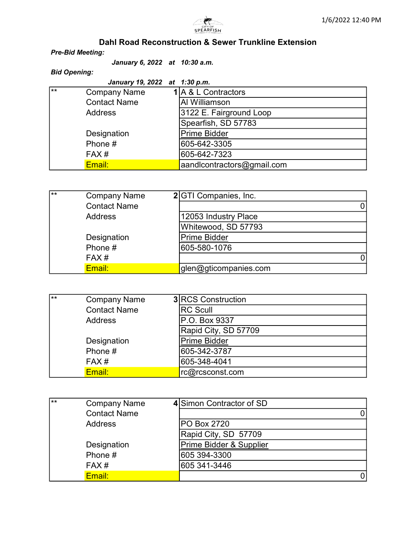

## Dahl Road Reconstruction & Sewer Trunkline Extension

## Pre-Bid Meeting:

January 6, 2022 at 10:30 a.m.

## Bid Opening:

|     | January 19, 2022 at 1:30 p.m. |                            |
|-----|-------------------------------|----------------------------|
| l∗∗ | <b>Company Name</b>           | 1 A & L Contractors        |
|     | <b>Contact Name</b>           | Al Williamson              |
|     | <b>Address</b>                | 3122 E. Fairground Loop    |
|     |                               | Spearfish, SD 57783        |
|     | Designation                   | <b>Prime Bidder</b>        |
|     | Phone #                       | 605-642-3305               |
|     | FAX#                          | 605-642-7323               |
|     | Email:                        | aandlcontractors@gmail.com |

| ட∗ | <b>Company Name</b> | 2 GTI Companies, Inc. |  |
|----|---------------------|-----------------------|--|
|    | <b>Contact Name</b> |                       |  |
|    | <b>Address</b>      | 12053 Industry Place  |  |
|    |                     | Whitewood, SD 57793   |  |
|    | Designation         | <b>Prime Bidder</b>   |  |
|    | Phone #             | 605-580-1076          |  |
|    | FAX#                |                       |  |
|    | Email:              | glen@gticompanies.com |  |

| ᡰ∗∗ | <b>Company Name</b> | <b>3 RCS Construction</b> |
|-----|---------------------|---------------------------|
|     | <b>Contact Name</b> | <b>RC Scull</b>           |
|     | Address             | P.O. Box 9337             |
|     |                     | Rapid City, SD 57709      |
|     | Designation         | Prime Bidder              |
|     | Phone #             | 605-342-3787              |
|     | FAX#                | 605-348-4041              |
|     | Email:              | rc@rcsconst.com           |

| 「∗∗ | <b>Company Name</b> | 4 Simon Contractor of SD |  |
|-----|---------------------|--------------------------|--|
|     | <b>Contact Name</b> |                          |  |
|     | Address             | PO Box 2720              |  |
|     |                     | Rapid City, SD 57709     |  |
|     | Designation         | Prime Bidder & Supplier  |  |
|     | Phone #             | 605 394-3300             |  |
|     | FAX#                | 605 341-3446             |  |
|     | Email:              |                          |  |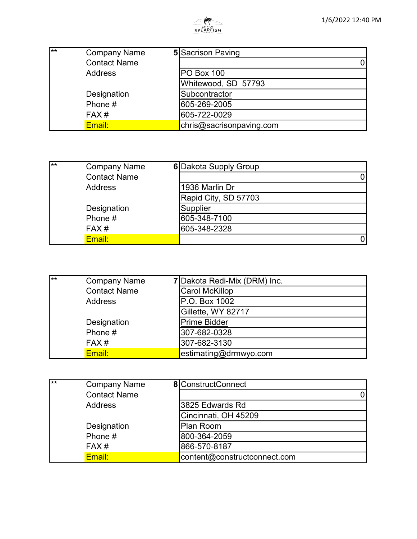

| $***$ | <b>Company Name</b> | <b>5</b> Sacrison Paving |  |
|-------|---------------------|--------------------------|--|
|       | <b>Contact Name</b> |                          |  |
|       | Address             | <b>PO Box 100</b>        |  |
|       |                     | Whitewood, SD 57793      |  |
|       | Designation         | Subcontractor            |  |
|       | Phone #             | 605-269-2005             |  |
|       | FAX#                | 605-722-0029             |  |
|       | Email:              | chris@sacrisonpaving.com |  |

| ⊺∗∗ | <b>Company Name</b> | 6 Dakota Supply Group |  |
|-----|---------------------|-----------------------|--|
|     | <b>Contact Name</b> |                       |  |
|     | <b>Address</b>      | 1936 Marlin Dr        |  |
|     |                     | Rapid City, SD 57703  |  |
|     | Designation         | Supplier              |  |
|     | Phone #             | 605-348-7100          |  |
|     | FAX#                | 605-348-2328          |  |
|     | Email:              |                       |  |

| ⊺∗∗ | <b>Company Name</b> | 7 Dakota Redi-Mix (DRM) Inc. |
|-----|---------------------|------------------------------|
|     | <b>Contact Name</b> | <b>Carol McKillop</b>        |
|     | <b>Address</b>      | P.O. Box 1002                |
|     |                     | Gillette, WY 82717           |
|     | Designation         | Prime Bidder                 |
|     | Phone #             | 307-682-0328                 |
|     | FAX#                | 307-682-3130                 |
|     | Email:              | estimating@drmwyo.com        |

| ြ∗∗ | <b>Company Name</b> | 8 ConstructConnect           |
|-----|---------------------|------------------------------|
|     | <b>Contact Name</b> |                              |
|     | Address             | 3825 Edwards Rd              |
|     |                     | Cincinnati, OH 45209         |
|     | Designation         | Plan Room                    |
|     | Phone #             | 800-364-2059                 |
|     | FAX#                | 866-570-8187                 |
|     | Email:              | content@constructconnect.com |